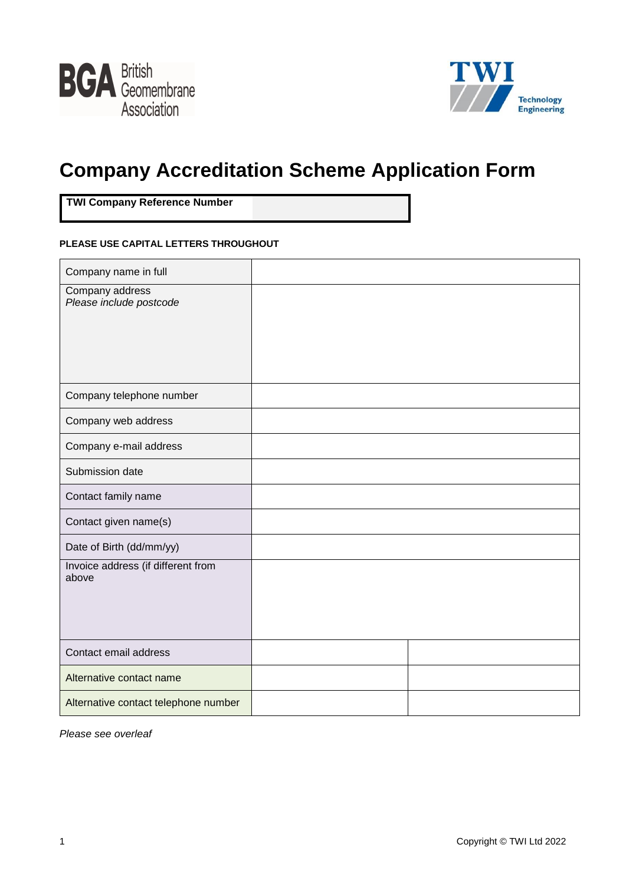



# **Company Accreditation Scheme Application Form**

**TWI Company Reference Number**

#### **PLEASE USE CAPITAL LETTERS THROUGHOUT**

| Company name in full                        |  |
|---------------------------------------------|--|
| Company address<br>Please include postcode  |  |
|                                             |  |
|                                             |  |
| Company telephone number                    |  |
| Company web address                         |  |
| Company e-mail address                      |  |
| Submission date                             |  |
| Contact family name                         |  |
| Contact given name(s)                       |  |
| Date of Birth (dd/mm/yy)                    |  |
| Invoice address (if different from<br>above |  |
|                                             |  |
|                                             |  |
| Contact email address                       |  |
| Alternative contact name                    |  |
| Alternative contact telephone number        |  |

*Please see overleaf*